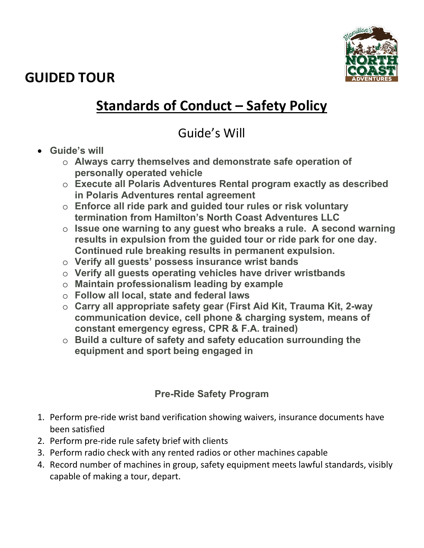**GUIDED TOUR** 



# **Standards of Conduct – Safety Policy**

### Guide's Will

- **Guide's will** 
	- o **Always carry themselves and demonstrate safe operation of personally operated vehicle**
	- o **Execute all Polaris Adventures Rental program exactly as described in Polaris Adventures rental agreement**
	- o **Enforce all ride park and guided tour rules or risk voluntary termination from Hamilton's North Coast Adventures LLC**
	- o **Issue one warning to any guest who breaks a rule. A second warning results in expulsion from the guided tour or ride park for one day. Continued rule breaking results in permanent expulsion.**
	- o **Verify all guests' possess insurance wrist bands**
	- o **Verify all guests operating vehicles have driver wristbands**
	- o **Maintain professionalism leading by example**
	- o **Follow all local, state and federal laws**
	- o **Carry all appropriate safety gear (First Aid Kit, Trauma Kit, 2-way communication device, cell phone & charging system, means of constant emergency egress, CPR & F.A. trained)**
	- o **Build a culture of safety and safety education surrounding the equipment and sport being engaged in**

### **Pre-Ride Safety Program**

- 1. Perform pre-ride wrist band verification showing waivers, insurance documents have been satisfied
- 2. Perform pre-ride rule safety brief with clients
- 3. Perform radio check with any rented radios or other machines capable
- 4. Record number of machines in group, safety equipment meets lawful standards, visibly capable of making a tour, depart.